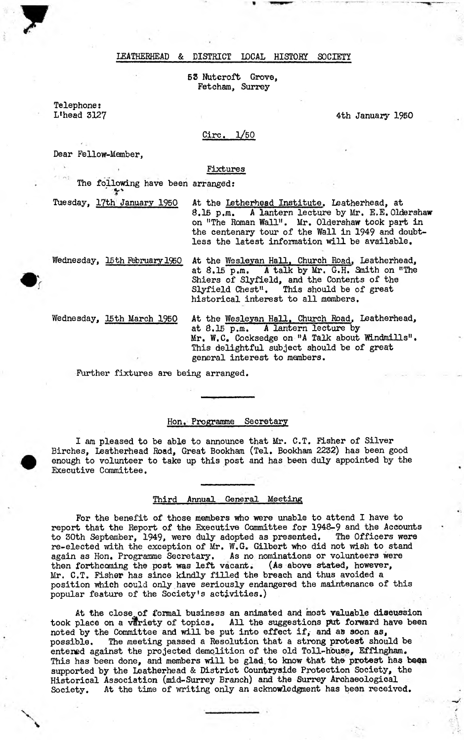## LEATHERHEAD & DISTRICT LOCAL HISTORY SOCIETY

53 Nutcroft Grove, Fetcham, Surrey

Telephone: L'head 3127

4th January 1950

# Circ. 1/50

Dear Fellow-Member,

#### Fixtures

The following have been arranged: ' *f '*

Tuesday, 17th January 1950 At the Letherhead Institute. Leatherhead, at  $8.15$  p.m. A lantern lecture by Mr. E.E. Old A lantern lecture by Mr. E.E. Oldershaw on "The Roman Wall". Mr. Oldershaw took part in the centenary tour of the Wall in 1949 and doubtless the latest information will be available.

Wednesday, 15th February 1950 At the Wesleyan Hall, Church Road, Leatherhead, at *8*.15 p.m. A talk by Mr. G.H. Snith on "The Shiers of Slyfield, and the Contents of the Slyfield Chest". This should be of great historical interest to all members.

Wednesday, 15th March 1950 At the Wesleyan Hall. Church Road, Leatherhead, at S.15 p.m. A lantern lecture by Mr. W.C. Cocksedge on "A Talk about Windmills". This delightful subject should be of great general interest to members.

Further fixtures are being arranged.

## Hon. Programme Secretary

I am pleased to be able to announce that Mr. C.T. Fisher of Silver Birches, Leatherhead Road, Great Bookham (Tel. Bookham 2232) has been good enough to volunteer to take up this post and has been duly appointed by the Executive Committee.

### Third Annual General Meeting

For the benefit of those members who were unable to attend I have to report that the Report of the Executive Committee for 1948-9 and the Accounts to 30th September, 1949, were duly adopted as presented. The Officers were re-elected with the exception of Mr. W.G. Gilbert who did not wish to stand again as Hon. Programme Secretary, As no nominations or volunteers were then forthcoming the post was left vacant. (As above stated, however, Mr. C.T. Fisher has since kindly filled the breach and thus avoided a position which could only have seriously endangered the maintenance of this popular feature of the Society's activities.)

At the close, of formal business an animated and most valuable discussion took place on a variety of topics. All the suggestions put forward have been noted by the Committee and will be put into effect if, and as soon as, possible. The meeting passed a Resolution that a strong protest should be entened against the projected demolition of the old Toll-house, Effingham. This has been done, and members will be glad to know that the protest has been supported by the Leatherhead & District Countryside Protection Society, the Historical Association (mid-Surrey Branch) and the Surrey Archaeological Society. At the time of writing only an acknowledgment has been received.